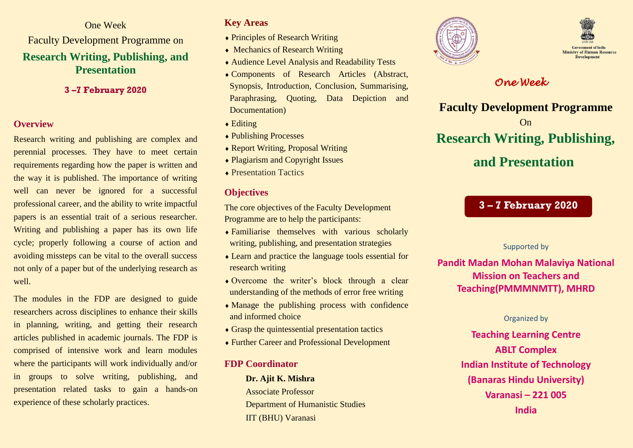One Week Faculty Development Programme on **Research Writing, Publishing, and Presentation**

**3 –7 February 2020**

#### **Overview**

Research writing and publishing are complex and perennial processes. They have to meet certain requirements regarding how the paper is written and the way it is published. The importance of writing well can never be ignored for a successful professional career, and the ability to write impactful papers is an essential trait of a serious researcher. Writing and publishing a paper has its own life cycle; properly following a course of action and avoiding missteps can be vital to the overall success not only of a paper but of the underlying research as well.

The modules in the FDP are designed to guide researchers across disciplines to enhance their skills in planning, writing, and getting their research articles published in academic journals. The FDP is comprised of intensive work and learn modules where the participants will work individually and/or in groups to solve writing, publishing, and presentation related tasks to gain a hands-on experience of these scholarly practices.

#### **Key Areas**

- Principles of Research Writing
- Mechanics of Research Writing
- Audience Level Analysis and Readability Tests
- Components of Research Articles (Abstract, Synopsis, Introduction, Conclusion, Summarising, Paraphrasing, Quoting, Data Depiction and Documentation)
- $\triangle$  Editing
- ◆ Publishing Processes
- Report Writing, Proposal Writing
- Plagiarism and Copyright Issues
- ◆ Presentation Tactics

### **Objectives**

The core objectives of the Faculty Development Programme are to help the participants:

- Familiarise themselves with various scholarly writing, publishing, and presentation strategies
- Learn and practice the language tools essential for research writing
- Overcome the writer's block through a clear understanding of the methods of error free writing
- Manage the publishing process with confidence and informed choice
- Grasp the quintessential presentation tactics
- Further Career and Professional Development

#### **FDP Coordinator**

**Dr. Ajit K. Mishra** Associate Professor Department of Humanistic Studies IIT (BHU) Varanasi





## *One Week*

**Faculty Development Programme** On **Research Writing, Publishing, and Presentation**

## **3 – 7 February 2020**

Supported by

**Pandit Madan Mohan Malaviya National Mission on Teachers and Teaching(PMMMNMTT), MHRD**

#### Organized by

**Teaching Learning Centre ABLT Complex Indian Institute of Technology (Banaras Hindu University) Varanasi – 221 005 India**